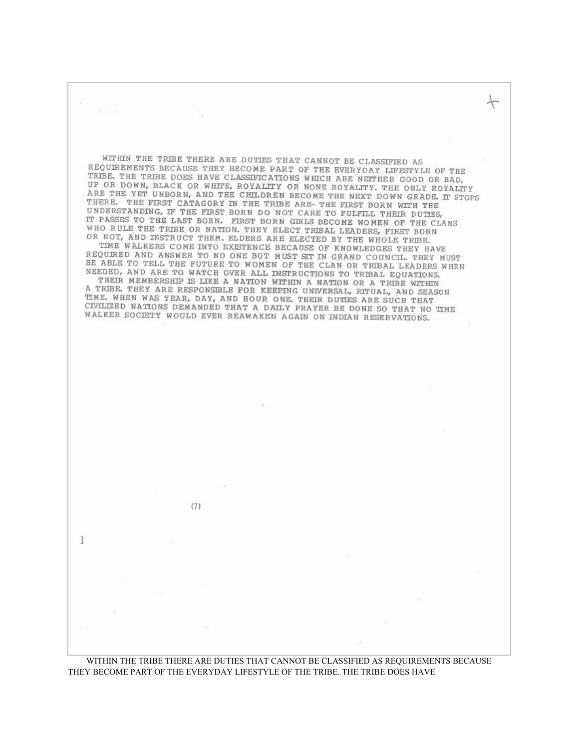WITHIN THE TRIBE THERE ARE DUTIES THAT CANNOT BE CLASSIFIED AS REQUIREMENTS BECAUSE THEY BECOME PART OF THE EVERYDAY LIFESTYLE OF THE TRIBE. THE TRIBE DOES HAVE CLASSIFICATIONS WHICH ARE NEITHER GOOD OR BAD, UP OR DOWN, BLACK OR WHITE, ROYALITY OR NONE ROYALITY. THE ONLY ROYALITY ARE THE YET UNBORN, AND THE CHLLDREN BECOME THE NEXT DOWN GRADE. IT STOPS THERE. THE FIRST CATAGORY IN THE TRIBE ARE- THE FIRST BORN WITH THE UNDERSTANDING, IF THE FIRST BORN DO NOT CARE TO FULFILL THEIR DUTIES, IT PASSES TO THE LAST BORN. FIRST BORN GIRLS BECOME WOMEN OF THE CLANS WHO RULE THE TRIBE OR NATION. THEY ELECT TRIBAL LEADERS, FIRST BORN OR NOT, AND INSTRUCT THEM. ELDERS ARE ELECTED BY THE WHOLE TRIBE. TIME WALKERS COME INTO EXISTENCE BECAUSE OF KNOWLEDGES THEY HAVE REQUIRED AND ANSWER TO NO ONE BUT MUST SIT IN GRAND COUNCIL. THEY MUST BE ABLE TO TELL THE FUTURE TO WOMEN OF THE CLAN OR TRIBAL LEADERS WHEN NEEDED, AND ARE TO WATCH OVER ALL INSTRUCTIONS TO TRIBAL EQUATIONS. THEIR MEMBERSHIP IS LIKE A NATION WITHIN A NATION OR A TRIBE WITHIN A TRIBE, THEY ARE RESPONSIBLE FOR KEEPING UNIVERSAL, RITUAL, AND SEASON TIME. WHEN WAS YEAR, DAY, AND HOUR ONE. THEIR DUTIES ARE SUCH THAT CIVILIZED NATIONS DEMANDED THAT A DAILY PRAYER BE DONE SO THAT NO TIME WALKER SOCIETY WOULD EVER REAWAKEN AGAIN ON INDIAN RESERVATIONS.  $(7)$  $\mathbf{1}$ 

se<sup>lli</sup>mis.

 $\leftarrow$ 

WITHIN THE TRIBE THERE ARE DUTIES THAT CANNOT BE CLASSIFIED AS REQUIREMENTS BECAUSE THEY BECOME PART OF THE EVERYDAY LIFESTYLE OF THE TRIBE. THE TRIBE DOES HAVE